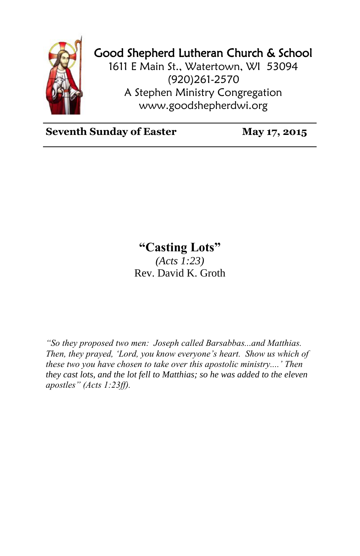

## Good Shepherd Lutheran Church & School

1611 E Main St., Watertown, WI 53094 (920)261-2570 A Stephen Ministry Congregation [www.goodshepherdwi.org](http://www.goodshepherdwi.org/)

**Seventh Sunday of Easter May 17, 2015**

## **"Casting Lots"**

*(Acts 1:23)* Rev. David K. Groth

*"So they proposed two men: Joseph called Barsabbas...and Matthias. Then, they prayed, 'Lord, you know everyone's heart. Show us which of these two you have chosen to take over this apostolic ministry....' Then they cast lots, and the lot fell to Matthias; so he was added to the eleven apostles" (Acts 1:23ff).*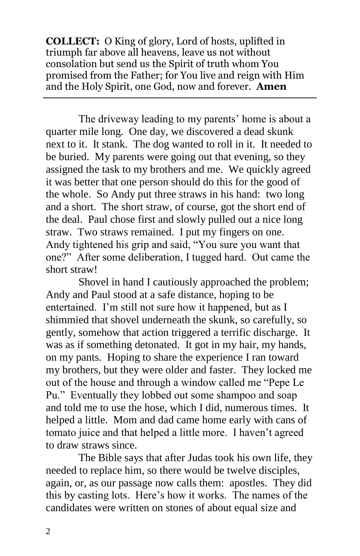**COLLECT:** O King of glory, Lord of hosts, uplifted in triumph far above all heavens, leave us not without consolation but send us the Spirit of truth whom You promised from the Father; for You live and reign with Him and the Holy Spirit, one God, now and forever. **Amen**

The driveway leading to my parents' home is about a quarter mile long. One day, we discovered a dead skunk next to it. It stank. The dog wanted to roll in it. It needed to be buried. My parents were going out that evening, so they assigned the task to my brothers and me. We quickly agreed it was better that one person should do this for the good of the whole. So Andy put three straws in his hand: two long and a short. The short straw, of course, got the short end of the deal. Paul chose first and slowly pulled out a nice long straw. Two straws remained. I put my fingers on one. Andy tightened his grip and said, "You sure you want that one?" After some deliberation, I tugged hard. Out came the short straw!

Shovel in hand I cautiously approached the problem; Andy and Paul stood at a safe distance, hoping to be entertained. I'm still not sure how it happened, but as I shimmied that shovel underneath the skunk, so carefully, so gently, somehow that action triggered a terrific discharge. It was as if something detonated. It got in my hair, my hands, on my pants. Hoping to share the experience I ran toward my brothers, but they were older and faster. They locked me out of the house and through a window called me "Pepe Le Pu." Eventually they lobbed out some shampoo and soap and told me to use the hose, which I did, numerous times. It helped a little. Mom and dad came home early with cans of tomato juice and that helped a little more. I haven't agreed to draw straws since.

The Bible says that after Judas took his own life, they needed to replace him, so there would be twelve disciples, again, or, as our passage now calls them: apostles. They did this by casting lots. Here's how it works. The names of the candidates were written on stones of about equal size and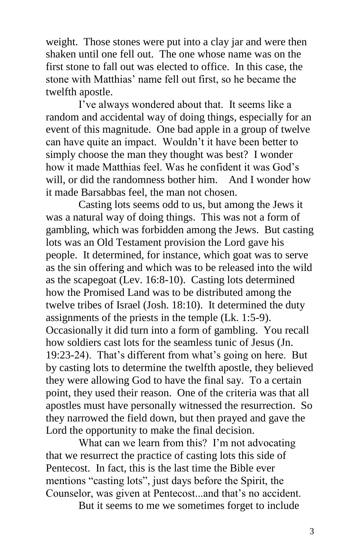weight. Those stones were put into a clay jar and were then shaken until one fell out. The one whose name was on the first stone to fall out was elected to office. In this case, the stone with Matthias' name fell out first, so he became the twelfth apostle.

I've always wondered about that. It seems like a random and accidental way of doing things, especially for an event of this magnitude. One bad apple in a group of twelve can have quite an impact. Wouldn't it have been better to simply choose the man they thought was best? I wonder how it made Matthias feel. Was he confident it was God's will, or did the randomness bother him. And I wonder how it made Barsabbas feel, the man not chosen.

Casting lots seems odd to us, but among the Jews it was a natural way of doing things. This was not a form of gambling, which was forbidden among the Jews. But casting lots was an Old Testament provision the Lord gave his people. It determined, for instance, which goat was to serve as the sin offering and which was to be released into the wild as the scapegoat (Lev. 16:8-10). Casting lots determined how the Promised Land was to be distributed among the twelve tribes of Israel (Josh. 18:10). It determined the duty assignments of the priests in the temple (Lk. 1:5-9). Occasionally it did turn into a form of gambling. You recall how soldiers cast lots for the seamless tunic of Jesus (Jn. 19:23-24). That's different from what's going on here. But by casting lots to determine the twelfth apostle, they believed they were allowing God to have the final say. To a certain point, they used their reason. One of the criteria was that all apostles must have personally witnessed the resurrection. So they narrowed the field down, but then prayed and gave the Lord the opportunity to make the final decision.

What can we learn from this? I'm not advocating that we resurrect the practice of casting lots this side of Pentecost. In fact, this is the last time the Bible ever mentions "casting lots", just days before the Spirit, the Counselor, was given at Pentecost...and that's no accident.

But it seems to me we sometimes forget to include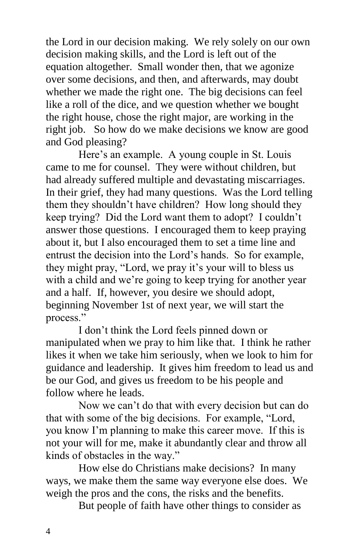the Lord in our decision making. We rely solely on our own decision making skills, and the Lord is left out of the equation altogether. Small wonder then, that we agonize over some decisions, and then, and afterwards, may doubt whether we made the right one. The big decisions can feel like a roll of the dice, and we question whether we bought the right house, chose the right major, are working in the right job. So how do we make decisions we know are good and God pleasing?

Here's an example. A young couple in St. Louis came to me for counsel. They were without children, but had already suffered multiple and devastating miscarriages. In their grief, they had many questions. Was the Lord telling them they shouldn't have children? How long should they keep trying? Did the Lord want them to adopt? I couldn't answer those questions. I encouraged them to keep praying about it, but I also encouraged them to set a time line and entrust the decision into the Lord's hands. So for example, they might pray, "Lord, we pray it's your will to bless us with a child and we're going to keep trying for another year and a half. If, however, you desire we should adopt, beginning November 1st of next year, we will start the process."

I don't think the Lord feels pinned down or manipulated when we pray to him like that. I think he rather likes it when we take him seriously, when we look to him for guidance and leadership. It gives him freedom to lead us and be our God, and gives us freedom to be his people and follow where he leads.

Now we can't do that with every decision but can do that with some of the big decisions. For example, "Lord, you know I'm planning to make this career move. If this is not your will for me, make it abundantly clear and throw all kinds of obstacles in the way."

How else do Christians make decisions? In many ways, we make them the same way everyone else does. We weigh the pros and the cons, the risks and the benefits.

But people of faith have other things to consider as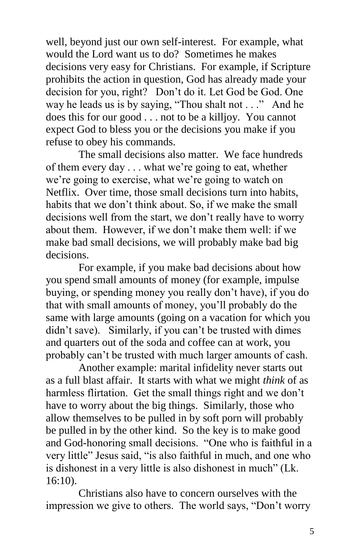well, beyond just our own self-interest. For example, what would the Lord want us to do? Sometimes he makes decisions very easy for Christians. For example, if Scripture prohibits the action in question, God has already made your decision for you, right? Don't do it. Let God be God. One way he leads us is by saying, "Thou shalt not . . ." And he does this for our good . . . not to be a killjoy. You cannot expect God to bless you or the decisions you make if you refuse to obey his commands.

The small decisions also matter. We face hundreds of them every day . . . what we're going to eat, whether we're going to exercise, what we're going to watch on Netflix. Over time, those small decisions turn into habits, habits that we don't think about. So, if we make the small decisions well from the start, we don't really have to worry about them. However, if we don't make them well: if we make bad small decisions, we will probably make bad big decisions.

For example, if you make bad decisions about how you spend small amounts of money (for example, impulse buying, or spending money you really don't have), if you do that with small amounts of money, you'll probably do the same with large amounts (going on a vacation for which you didn't save). Similarly, if you can't be trusted with dimes and quarters out of the soda and coffee can at work, you probably can't be trusted with much larger amounts of cash.

Another example: marital infidelity never starts out as a full blast affair. It starts with what we might *think* of as harmless flirtation. Get the small things right and we don't have to worry about the big things. Similarly, those who allow themselves to be pulled in by soft porn will probably be pulled in by the other kind. So the key is to make good and God-honoring small decisions. "One who is faithful in a very little" Jesus said, "is also faithful in much, and one who is dishonest in a very little is also dishonest in much" (Lk. 16:10).

Christians also have to concern ourselves with the impression we give to others. The world says, "Don't worry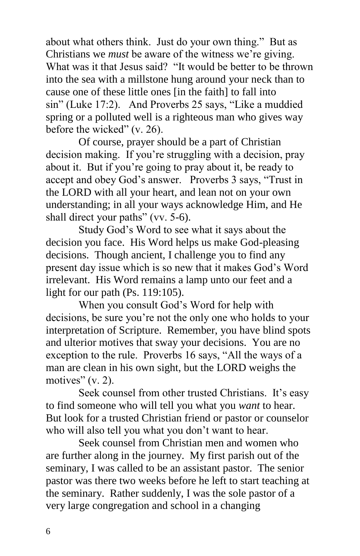about what others think. Just do your own thing." But as Christians we *must* be aware of the witness we're giving. What was it that Jesus said? "It would be better to be thrown into the sea with a millstone hung around your neck than to cause one of these little ones [in the faith] to fall into sin" (Luke 17:2). And Proverbs 25 says, "Like a muddied spring or a polluted well is a righteous man who gives way before the wicked" (v. 26).

Of course, prayer should be a part of Christian decision making. If you're struggling with a decision, pray about it. But if you're going to pray about it, be ready to accept and obey God's answer. Proverbs 3 says, "Trust in the LORD with all your heart, and lean not on your own understanding; in all your ways acknowledge Him, and He shall direct your paths" (vv. 5-6).

Study God's Word to see what it says about the decision you face. His Word helps us make God-pleasing decisions. Though ancient, I challenge you to find any present day issue which is so new that it makes God's Word irrelevant. His Word remains a lamp unto our feet and a light for our path (Ps. 119:105).

When you consult God's Word for help with decisions, be sure you're not the only one who holds to your interpretation of Scripture. Remember, you have blind spots and ulterior motives that sway your decisions. You are no exception to the rule. Proverbs 16 says, "All the ways of a man are clean in his own sight, but the LORD weighs the motives"  $(v, 2)$ .

Seek counsel from other trusted Christians. It's easy to find someone who will tell you what you *want* to hear. But look for a trusted Christian friend or pastor or counselor who will also tell you what you don't want to hear.

Seek counsel from Christian men and women who are further along in the journey. My first parish out of the seminary, I was called to be an assistant pastor. The senior pastor was there two weeks before he left to start teaching at the seminary. Rather suddenly, I was the sole pastor of a very large congregation and school in a changing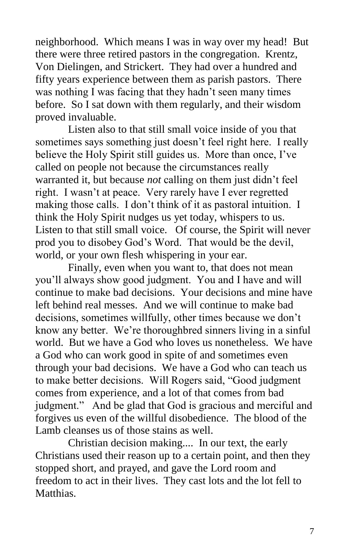neighborhood. Which means I was in way over my head! But there were three retired pastors in the congregation. Krentz, Von Dielingen, and Strickert. They had over a hundred and fifty years experience between them as parish pastors. There was nothing I was facing that they hadn't seen many times before. So I sat down with them regularly, and their wisdom proved invaluable.

Listen also to that still small voice inside of you that sometimes says something just doesn't feel right here. I really believe the Holy Spirit still guides us. More than once, I've called on people not because the circumstances really warranted it, but because *not* calling on them just didn't feel right. I wasn't at peace. Very rarely have I ever regretted making those calls. I don't think of it as pastoral intuition. I think the Holy Spirit nudges us yet today, whispers to us. Listen to that still small voice. Of course, the Spirit will never prod you to disobey God's Word. That would be the devil, world, or your own flesh whispering in your ear.

Finally, even when you want to, that does not mean you'll always show good judgment. You and I have and will continue to make bad decisions. Your decisions and mine have left behind real messes. And we will continue to make bad decisions, sometimes willfully, other times because we don't know any better. We're thoroughbred sinners living in a sinful world. But we have a God who loves us nonetheless. We have a God who can work good in spite of and sometimes even through your bad decisions. We have a God who can teach us to make better decisions. Will Rogers said, "Good judgment comes from experience, and a lot of that comes from bad judgment." And be glad that God is gracious and merciful and forgives us even of the willful disobedience. The blood of the Lamb cleanses us of those stains as well.

Christian decision making.... In our text, the early Christians used their reason up to a certain point, and then they stopped short, and prayed, and gave the Lord room and freedom to act in their lives. They cast lots and the lot fell to Matthias.